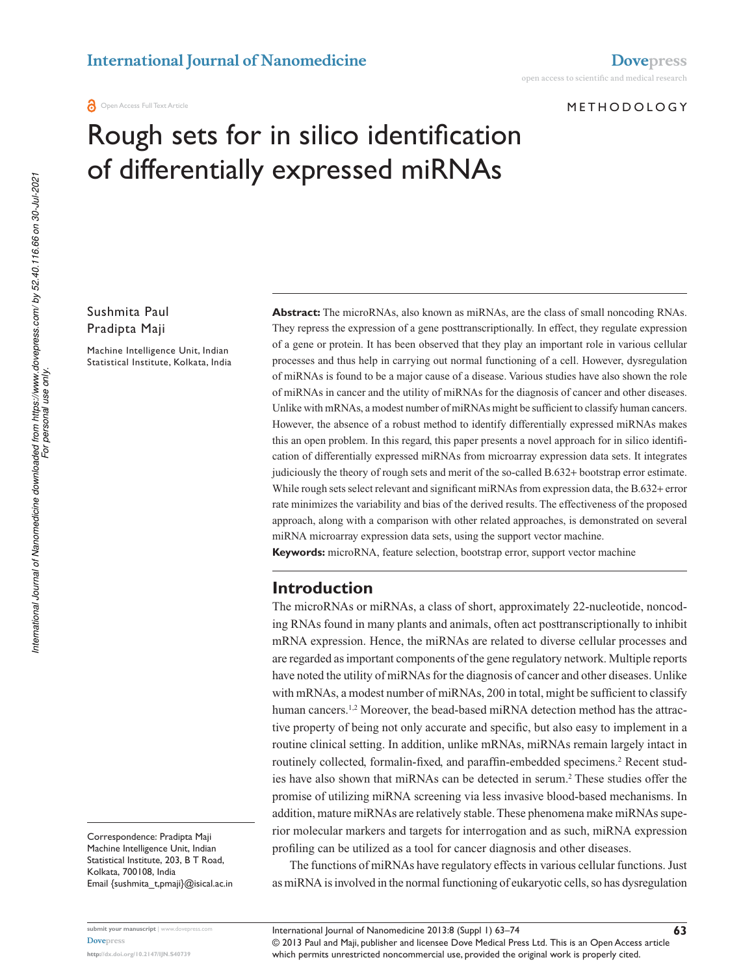#### METhODOLOgy

# Rough sets for in silico identification of differentially expressed miRNAs

## Sushmita Paul Pradipta Maji

Machine Intelligence Unit, Indian Statistical Institute, Kolkata, India **Abstract:** The microRNAs, also known as miRNAs, are the class of small noncoding RNAs. They repress the expression of a gene posttranscriptionally. In effect, they regulate expression of a gene or protein. It has been observed that they play an important role in various cellular processes and thus help in carrying out normal functioning of a cell. However, dysregulation of miRNAs is found to be a major cause of a disease. Various studies have also shown the role of miRNAs in cancer and the utility of miRNAs for the diagnosis of cancer and other diseases. Unlike with mRNAs, a modest number of miRNAs might be sufficient to classify human cancers. However, the absence of a robust method to identify differentially expressed miRNAs makes this an open problem. In this regard, this paper presents a novel approach for in silico identification of differentially expressed miRNAs from microarray expression data sets. It integrates judiciously the theory of rough sets and merit of the so-called B.632+ bootstrap error estimate. While rough sets select relevant and significant miRNAs from expression data, the B.632+ error rate minimizes the variability and bias of the derived results. The effectiveness of the proposed approach, along with a comparison with other related approaches, is demonstrated on several miRNA microarray expression data sets, using the support vector machine.

**Keywords:** microRNA, feature selection, bootstrap error, support vector machine

#### **Introduction**

The microRNAs or miRNAs, a class of short, approximately 22-nucleotide, noncoding RNAs found in many plants and animals, often act posttranscriptionally to inhibit mRNA expression. Hence, the miRNAs are related to diverse cellular processes and are regarded as important components of the gene regulatory network. Multiple reports have noted the utility of miRNAs for the diagnosis of cancer and other diseases. Unlike with mRNAs, a modest number of miRNAs, 200 in total, might be sufficient to classify human cancers.<sup>1,2</sup> Moreover, the bead-based miRNA detection method has the attractive property of being not only accurate and specific, but also easy to implement in a routine clinical setting. In addition, unlike mRNAs, miRNAs remain largely intact in routinely collected, formalin-fixed, and paraffin-embedded specimens.<sup>2</sup> Recent studies have also shown that miRNAs can be detected in serum.<sup>2</sup> These studies offer the promise of utilizing miRNA screening via less invasive blood-based mechanisms. In addition, mature miRNAs are relatively stable. These phenomena make miRNAs superior molecular markers and targets for interrogation and as such, miRNA expression profiling can be utilized as a tool for cancer diagnosis and other diseases.

The functions of miRNAs have regulatory effects in various cellular functions. Just as miRNA is involved in the normal functioning of eukaryotic cells, so has dysregulation

Correspondence: Pradipta Maji Machine Intelligence Unit, Indian Statistical Institute, 203, B T Road, Kolkata, 700108, India Email {sushmita\_t,pmaji}@isical.ac.in

**submit your manuscript** | www.dovepress.com **Dovepress http://dx.doi.org/10.2147/IJN.S40739**

© 2013 Paul and Maji, publisher and licensee Dove Medical Press Ltd. This is an Open Access article which permits unrestricted noncommercial use, provided the original work is properly cited. International Journal of Nanomedicine 2013:8 (Suppl 1) 63–74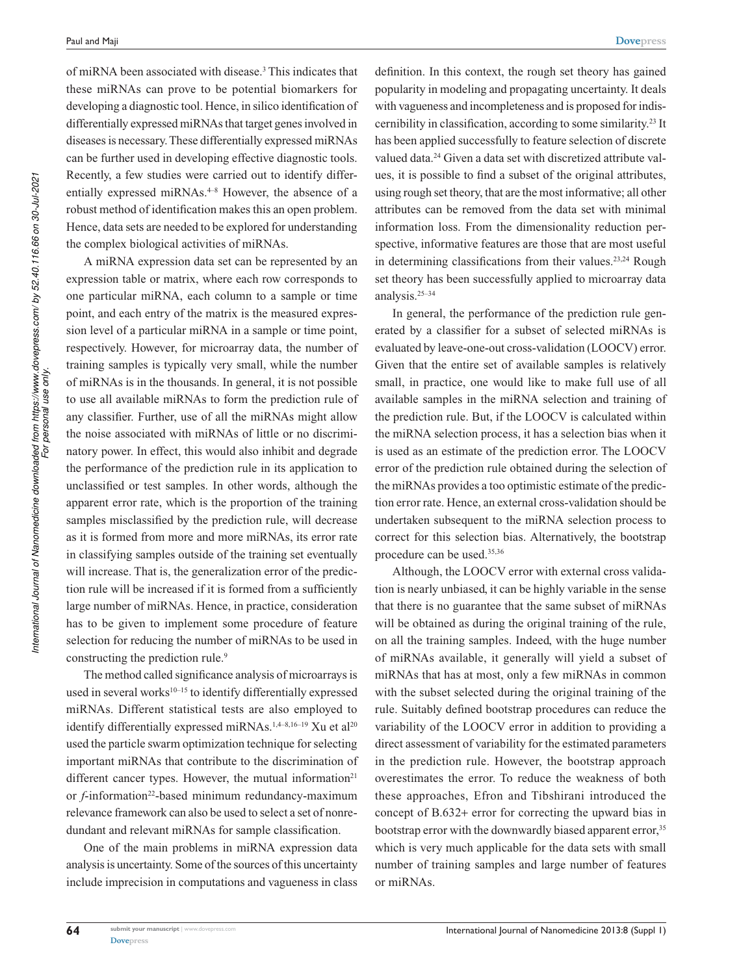of miRNA been associated with disease.<sup>3</sup> This indicates that these miRNAs can prove to be potential biomarkers for developing a diagnostic tool. Hence, in silico identification of differentially expressed miRNAs that target genes involved in diseases is necessary. These differentially expressed miRNAs can be further used in developing effective diagnostic tools. Recently, a few studies were carried out to identify differentially expressed miRNAs. $4-8$  However, the absence of a robust method of identification makes this an open problem. Hence, data sets are needed to be explored for understanding the complex biological activities of miRNAs.

A miRNA expression data set can be represented by an expression table or matrix, where each row corresponds to one particular miRNA, each column to a sample or time point, and each entry of the matrix is the measured expression level of a particular miRNA in a sample or time point, respectively. However, for microarray data, the number of training samples is typically very small, while the number of miRNAs is in the thousands. In general, it is not possible to use all available miRNAs to form the prediction rule of any classifier. Further, use of all the miRNAs might allow the noise associated with miRNAs of little or no discriminatory power. In effect, this would also inhibit and degrade the performance of the prediction rule in its application to unclassified or test samples. In other words, although the apparent error rate, which is the proportion of the training samples misclassified by the prediction rule, will decrease as it is formed from more and more miRNAs, its error rate in classifying samples outside of the training set eventually will increase. That is, the generalization error of the prediction rule will be increased if it is formed from a sufficiently large number of miRNAs. Hence, in practice, consideration has to be given to implement some procedure of feature selection for reducing the number of miRNAs to be used in constructing the prediction rule.<sup>9</sup>

The method called significance analysis of microarrays is used in several works $10-15$  to identify differentially expressed miRNAs. Different statistical tests are also employed to identify differentially expressed miRNAs.<sup>1,4–8,16–19</sup> Xu et al<sup>20</sup> used the particle swarm optimization technique for selecting important miRNAs that contribute to the discrimination of different cancer types. However, the mutual information $21$ or *f*-information<sup>22</sup>-based minimum redundancy-maximum relevance framework can also be used to select a set of nonredundant and relevant miRNAs for sample classification.

One of the main problems in miRNA expression data analysis is uncertainty. Some of the sources of this uncertainty include imprecision in computations and vagueness in class definition. In this context, the rough set theory has gained popularity in modeling and propagating uncertainty. It deals with vagueness and incompleteness and is proposed for indiscernibility in classification, according to some similarity.<sup>23</sup> It has been applied successfully to feature selection of discrete valued data.<sup>24</sup> Given a data set with discretized attribute values, it is possible to find a subset of the original attributes, using rough set theory, that are the most informative; all other attributes can be removed from the data set with minimal information loss. From the dimensionality reduction perspective, informative features are those that are most useful in determining classifications from their values.<sup>23,24</sup> Rough set theory has been successfully applied to microarray data analysis.25–34

In general, the performance of the prediction rule generated by a classifier for a subset of selected miRNAs is evaluated by leave-one-out cross-validation (LOOCV) error. Given that the entire set of available samples is relatively small, in practice, one would like to make full use of all available samples in the miRNA selection and training of the prediction rule. But, if the LOOCV is calculated within the miRNA selection process, it has a selection bias when it is used as an estimate of the prediction error. The LOOCV error of the prediction rule obtained during the selection of the miRNAs provides a too optimistic estimate of the prediction error rate. Hence, an external cross-validation should be undertaken subsequent to the miRNA selection process to correct for this selection bias. Alternatively, the bootstrap procedure can be used.35,36

Although, the LOOCV error with external cross validation is nearly unbiased, it can be highly variable in the sense that there is no guarantee that the same subset of miRNAs will be obtained as during the original training of the rule, on all the training samples. Indeed, with the huge number of miRNAs available, it generally will yield a subset of miRNAs that has at most, only a few miRNAs in common with the subset selected during the original training of the rule. Suitably defined bootstrap procedures can reduce the variability of the LOOCV error in addition to providing a direct assessment of variability for the estimated parameters in the prediction rule. However, the bootstrap approach overestimates the error. To reduce the weakness of both these approaches, Efron and Tibshirani introduced the concept of B.632+ error for correcting the upward bias in bootstrap error with the downwardly biased apparent error,<sup>35</sup> which is very much applicable for the data sets with small number of training samples and large number of features or miRNAs.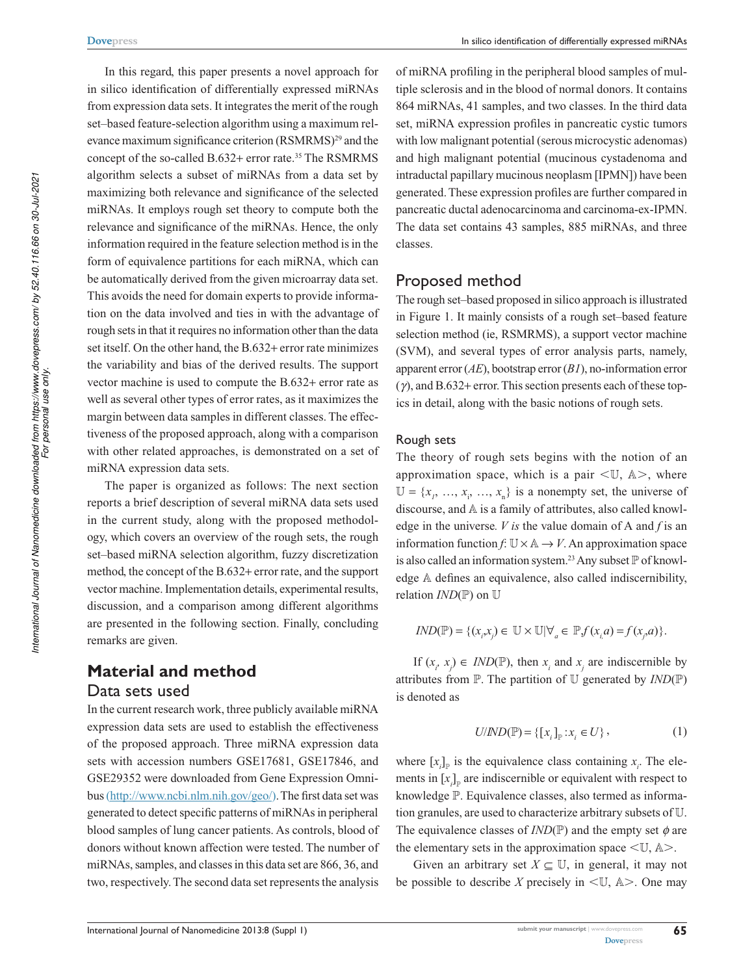In this regard, this paper presents a novel approach for in silico identification of differentially expressed miRNAs from expression data sets. It integrates the merit of the rough set–based feature-selection algorithm using a maximum relevance maximum significance criterion (RSMRMS)<sup>29</sup> and the concept of the so-called B.632+ error rate.<sup>35</sup> The RSMRMS algorithm selects a subset of miRNAs from a data set by maximizing both relevance and significance of the selected miRNAs. It employs rough set theory to compute both the relevance and significance of the miRNAs. Hence, the only information required in the feature selection method is in the form of equivalence partitions for each miRNA, which can be automatically derived from the given microarray data set. This avoids the need for domain experts to provide information on the data involved and ties in with the advantage of rough sets in that it requires no information other than the data set itself. On the other hand, the B.632+ error rate minimizes the variability and bias of the derived results. The support vector machine is used to compute the B.632+ error rate as well as several other types of error rates, as it maximizes the margin between data samples in different classes. The effectiveness of the proposed approach, along with a comparison with other related approaches, is demonstrated on a set of miRNA expression data sets.

The paper is organized as follows: The next section reports a brief description of several miRNA data sets used in the current study, along with the proposed methodology, which covers an overview of the rough sets, the rough set–based miRNA selection algorithm, fuzzy discretization method, the concept of the B.632+ error rate, and the support vector machine. Implementation details, experimental results, discussion, and a comparison among different algorithms are presented in the following section. Finally, concluding remarks are given.

## **Material and method** Data sets used

In the current research work, three publicly available miRNA expression data sets are used to establish the effectiveness of the proposed approach. Three miRNA expression data sets with accession numbers GSE17681, GSE17846, and GSE29352 were downloaded from Gene Expression Omnibus (http://www.ncbi.nlm.nih.gov/geo/). The first data set was generated to detect specific patterns of miRNAs in peripheral blood samples of lung cancer patients. As controls, blood of donors without known affection were tested. The number of miRNAs, samples, and classes in this data set are 866, 36, and two, respectively. The second data set represents the analysis

of miRNA profiling in the peripheral blood samples of multiple sclerosis and in the blood of normal donors. It contains 864 miRNAs, 41 samples, and two classes. In the third data set, miRNA expression profiles in pancreatic cystic tumors with low malignant potential (serous microcystic adenomas) and high malignant potential (mucinous cystadenoma and intraductal papillary mucinous neoplasm [IPMN]) have been generated. These expression profiles are further compared in pancreatic ductal adenocarcinoma and carcinoma-ex-IPMN. The data set contains 43 samples, 885 miRNAs, and three classes.

#### Proposed method

The rough set–based proposed in silico approach is illustrated in Figure 1. It mainly consists of a rough set–based feature selection method (ie, RSMRMS), a support vector machine (SVM), and several types of error analysis parts, namely, apparent error (*AE*), bootstrap error (*B1*), no-information error (*γ*), and B.632+ error. This section presents each of these topics in detail, along with the basic notions of rough sets.

#### Rough sets

The theory of rough sets begins with the notion of an approximation space, which is a pair  $\langle \mathbb{U}, \mathbb{A} \rangle$ , where  $\mathbb{U} = \{x_1, \ldots, x_i, \ldots, x_n\}$  is a nonempty set, the universe of discourse, and  $A$  is a family of attributes, also called knowledge in the universe*. V is* the value domain of A and *f* is an information function  $f: \mathbb{U} \times \mathbb{A} \to V$ . An approximation space is also called an information system.<sup>23</sup> Any subset  $\mathbb P$  of knowledge  $A$  defines an equivalence, also called indiscernibility, relation  $IND(\mathbb{P})$  on  $\mathbb U$ 

$$
IND(\mathbb{P}) = \{ (x_i, x_j) \in \mathbb{U} \times \mathbb{U} | \forall_a \in \mathbb{P} f (x_i, a) = f (x_j, a) \}.
$$

If  $(x_i, x_j) \in IND(\mathbb{P})$ , then  $x_i$  and  $x_j$  are indiscernible by attributes from  $\mathbb P$ . The partition of  $\mathbb U$  generated by  $IND(\mathbb P)$ is denoted as

$$
U/ND(\mathbb{P}) = \{ [x_i]_{\mathbb{P}} : x_i \in U \},\tag{1}
$$

where  $[x_i]_p$  is the equivalence class containing  $x_i$ . The elements in  $[x_i]_p$  are indiscernible or equivalent with respect to knowledge  $P$ . Equivalence classes, also termed as information granules, are used to characterize arbitrary subsets of  $U$ . The equivalence classes of  $IND(\mathbb{P})$  and the empty set  $\phi$  are the elementary sets in the approximation space  $\langle \mathbb{U}, \mathbb{A} \rangle$ .

Given an arbitrary set  $X \subseteq \mathbb{U}$ , in general, it may not be possible to describe *X* precisely in  $\leq \mathbb{U}$ ,  $\mathbb{A}$  >. One may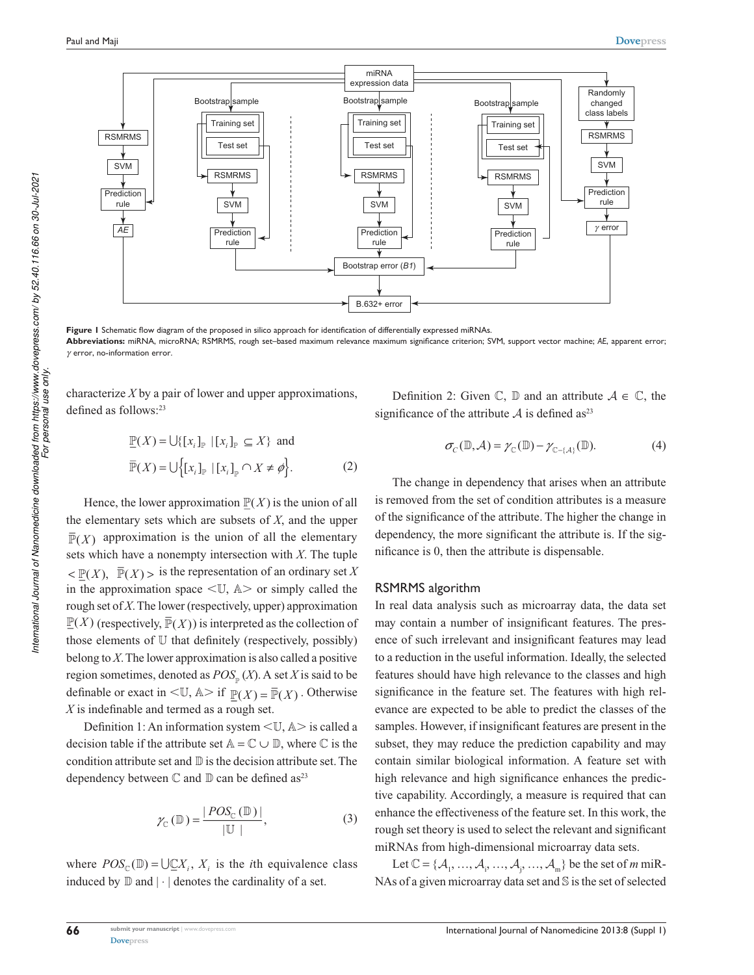

**Figure 1** Schematic flow diagram of the proposed in silico approach for identification of differentially expressed miRNAs. **Abbreviations:** miRNA, microRNA; RSMRMS, rough set–based maximum relevance maximum significance criterion; SVM, support vector machine; *AE*, apparent error; *γ* error, no-information error.

characterize *X* by a pair of lower and upper approximations, defined as follows:<sup>23</sup>

$$
\underline{\mathbb{P}}(X) = \bigcup \{ [x_i]_{\mathbb{P}} | [x_i]_{\mathbb{P}} \subseteq X \} \text{ and}
$$
  

$$
\overline{\mathbb{P}}(X) = \bigcup \{ [x_i]_{\mathbb{P}} | [x_i]_{\mathbb{P}} \cap X \neq \emptyset \}.
$$
 (2)

Hence, the lower approximation  $\underline{\mathbb{P}}(X)$  is the union of all the elementary sets which are subsets of *X*, and the upper  $\overline{\mathbb{P}}(X)$  approximation is the union of all the elementary sets which have a nonempty intersection with *X*. The tuple  $\leq \mathbb{P}(X)$ ,  $\overline{\mathbb{P}}(X)$  is the representation of an ordinary set *X* in the approximation space  $\langle \mathbb{U}, \mathbb{A} \rangle$  or simply called the rough set of *X*. The lower (respectively, upper) approximation  $\underline{\mathbb{P}}(X)$  (respectively,  $\overline{\mathbb{P}}(X)$ ) is interpreted as the collection of those elements of  $U$  that definitely (respectively, possibly) belong to *X*. The lower approximation is also called a positive region sometimes, denoted as *POS* (*X*). A set *X* is said to be definable or exact in  $\leq \mathbb{U}$ ,  $\mathbb{A}$  > if  $\underline{\mathbb{P}}(X) = \overline{\mathbb{P}}(X)$ . Otherwise *X* is indefinable and termed as a rough set.

Definition 1: An information system  $\langle \mathbb{U}, \mathbb{A} \rangle$  is called a decision table if the attribute set  $\mathbb{A} = \mathbb{C} \cup \mathbb{D}$ , where  $\mathbb{C}$  is the condition attribute set and  $\mathbb D$  is the decision attribute set. The dependency between  $\mathbb C$  and  $\mathbb D$  can be defined as<sup>23</sup>

$$
\gamma_{\mathbb{C}}\left(\mathbb{D}\right) = \frac{|POS_{\mathbb{C}}\left(\mathbb{D}\right)|}{|\mathbb{U}|},\tag{3}
$$

where  $POS_{\mathcal{C}}(\mathbb{D}) = \bigcup \mathcal{Q}X_i, X_i$  is the *i*th equivalence class induced by  $\mathbb D$  and  $|\cdot|$  denotes the cardinality of a set.

Definition 2: Given  $\mathbb{C}$ ,  $\mathbb{D}$  and an attribute  $A \in \mathbb{C}$ , the significance of the attribute  $A$  is defined as<sup>23</sup>

$$
\sigma_{\mathcal{C}}(\mathbb{D}, \mathcal{A}) = \gamma_{\mathbb{C}}(\mathbb{D}) - \gamma_{\mathbb{C} - \{\mathcal{A}\}}(\mathbb{D}).
$$
 (4)

The change in dependency that arises when an attribute is removed from the set of condition attributes is a measure of the significance of the attribute. The higher the change in dependency, the more significant the attribute is. If the significance is 0, then the attribute is dispensable.

#### RSMRMS algorithm

In real data analysis such as microarray data, the data set may contain a number of insignificant features. The presence of such irrelevant and insignificant features may lead to a reduction in the useful information. Ideally, the selected features should have high relevance to the classes and high significance in the feature set. The features with high relevance are expected to be able to predict the classes of the samples. However, if insignificant features are present in the subset, they may reduce the prediction capability and may contain similar biological information. A feature set with high relevance and high significance enhances the predictive capability. Accordingly, a measure is required that can enhance the effectiveness of the feature set. In this work, the rough set theory is used to select the relevant and significant miRNAs from high-dimensional microarray data sets.

Let  $\mathbb{C} = {\{\mathcal{A}_1, ..., \mathcal{A}_i, ..., \mathcal{A}_j, ..., \mathcal{A}_m\}}$  be the set of *m* miR-NAs of a given microarray data set and  $\mathbb S$  is the set of selected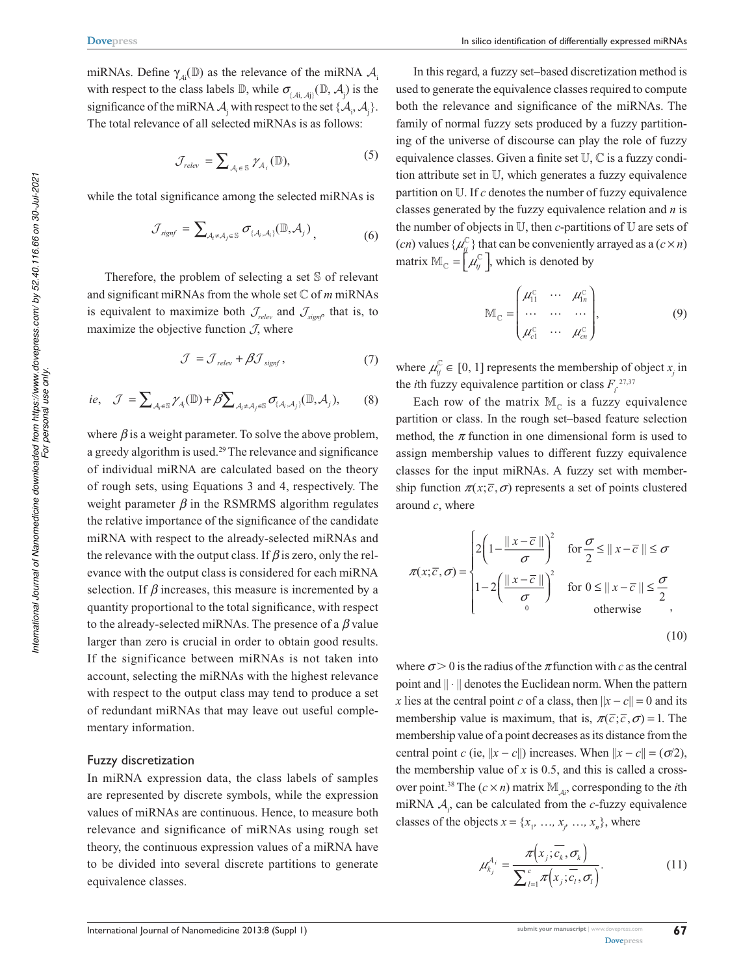miRNAs. Define  $\gamma_{\scriptscriptstyle{\mathcal{A}} i}(\mathbb{D})$  as the relevance of the miRNA  $\mathcal{A}_{\scriptscriptstyle{\mathsf{i}}}$ with respect to the class labels  $\mathbb{D}$ , while  $\sigma_{(A_i, A_j)}(\mathbb{D}, A_j)$  is the significance of the miRNA  $\mathcal{A}_j$  with respect to the set  $\{\mathcal{A}_i, \mathcal{A}_j\}$ . The total relevance of all selected miRNAs is as follows:

$$
\mathcal{J}_{relev} = \sum_{\mathcal{A}_i \in \mathcal{S}} \gamma_{\mathcal{A}_i}(\mathbb{D}), \tag{5}
$$

while the total significance among the selected miRNAs is

$$
\mathcal{J}_{signf} = \sum_{\mathcal{A}_i \neq \mathcal{A}_j \in \mathbb{S}} \sigma_{\{\mathcal{A}_i, \mathcal{A}_j\}}(\mathbb{D}, \mathcal{A}_j), \tag{6}
$$

Therefore, the problem of selecting a set  $S$  of relevant and significant miRNAs from the whole set *ℂ* of *m* miRNAs is equivalent to maximize both  $\mathcal{J}_{relev}$  and  $\mathcal{J}_{\text{stomb}}$ , that is, to maximize the objective function  $J$ , where

$$
\mathcal{J} = \mathcal{J}_{relev} + \beta \mathcal{J}_{signf},\tag{7}
$$

i.e, 
$$
\mathcal{J} = \sum_{\mathcal{A}_i \in \mathbb{S}} \gamma_{\mathcal{A}_i}(\mathbb{D}) + \beta \sum_{\mathcal{A}_i \neq \mathcal{A}_j \in \mathbb{S}} \sigma_{\{\mathcal{A}_i, \mathcal{A}_j\}}(\mathbb{D}, \mathcal{A}_j),
$$
 (8)

where  $\beta$  is a weight parameter. To solve the above problem, a greedy algorithm is used.<sup>29</sup> The relevance and significance of individual miRNA are calculated based on the theory of rough sets, using Equations 3 and 4, respectively. The weight parameter  $\beta$  in the RSMRMS algorithm regulates the relative importance of the significance of the candidate miRNA with respect to the already-selected miRNAs and the relevance with the output class. If  $\beta$  is zero, only the relevance with the output class is considered for each miRNA selection. If  $\beta$  increases, this measure is incremented by a quantity proportional to the total significance, with respect to the already-selected miRNAs. The presence of a *β* value larger than zero is crucial in order to obtain good results. If the significance between miRNAs is not taken into account, selecting the miRNAs with the highest relevance with respect to the output class may tend to produce a set of redundant miRNAs that may leave out useful complementary information.

#### Fuzzy discretization

In miRNA expression data, the class labels of samples are represented by discrete symbols, while the expression values of miRNAs are continuous. Hence, to measure both relevance and significance of miRNAs using rough set theory, the continuous expression values of a miRNA have to be divided into several discrete partitions to generate equivalence classes.

In this regard, a fuzzy set–based discretization method is used to generate the equivalence classes required to compute both the relevance and significance of the miRNAs. The family of normal fuzzy sets produced by a fuzzy partitioning of the universe of discourse can play the role of fuzzy equivalence classes. Given a finite set  $\mathbb{U}, \mathbb{C}$  is a fuzzy condition attribute set in  $U$ , which generates a fuzzy equivalence partition on  $U$ . If  $c$  denotes the number of fuzzy equivalence classes generated by the fuzzy equivalence relation and *n* is the number of objects in  $U$ , then *c*-partitions of  $U$  are sets of (*cn*) values  $\{\mu_{ij}^{\mathbb{C}}\}$  that can be conveniently arrayed as a (*c* × *n*) matrix  $\mathbb{M}_{\mathbb{C}} = \left[ \mu_{ij}^{\mathbb{C}} \right]$ , which is denoted by

$$
\mathbb{M}_{\mathbb{C}} = \begin{pmatrix} \mu_{11}^{\mathbb{C}} & \cdots & \mu_{1n}^{\mathbb{C}} \\ \cdots & \cdots & \cdots \\ \mu_{c1}^{\mathbb{C}} & \cdots & \mu_{cn}^{\mathbb{C}} \end{pmatrix},
$$
(9)

where  $\mu_{ij}^{\mathbb{C}} \in [0, 1]$  represents the membership of object  $x_j$  in the *i*th fuzzy equivalence partition or class  $F_i^{27,37}$ 

Each row of the matrix  $\mathbb{M}_{\mathbb{C}}$  is a fuzzy equivalence partition or class. In the rough set–based feature selection method, the  $\pi$  function in one dimensional form is used to assign membership values to different fuzzy equivalence classes for the input miRNAs. A fuzzy set with membership function  $\pi(x; \bar{c}, \sigma)$  represents a set of points clustered around *c*, where

$$
\pi(x;\overline{c},\sigma) = \begin{cases} 2\left(1 - \frac{\|x - \overline{c}\|}{\sigma}\right)^2 & \text{for } \frac{\sigma}{2} \le \|x - \overline{c}\| \le \sigma \\ 1 - 2\left(\frac{\|x - \overline{c}\|}{\sigma}\right)^2 & \text{for } 0 \le \|x - \overline{c}\| \le \frac{\sigma}{2} \\ 0 & \text{otherwise} \end{cases}
$$
(10)

where  $\sigma > 0$  is the radius of the  $\pi$  function with *c* as the central point and || ⋅ || denotes the Euclidean norm. When the pattern *x* lies at the central point *c* of a class, then  $||x - c|| = 0$  and its membership value is maximum, that is,  $\pi(\bar{c}; \bar{c}, \sigma) = 1$ . The membership value of a point decreases as its distance from the central point *c* (ie,  $||x - c||$ ) increases. When  $||x - c|| = (\sigma/2)$ , the membership value of  $x$  is 0.5, and this is called a crossover point.<sup>38</sup> The  $(c \times n)$  matrix  $\mathbb{M}_{\mathcal{A}}$ , corresponding to the *i*th miRNA  $A_i$ , can be calculated from the *c*-fuzzy equivalence classes of the objects  $x = \{x_1, \ldots, x_j, \ldots, x_n\}$ , where

$$
\mu_{k_j}^{A_i} = \frac{\pi(x_j; \overline{c_k}, \sigma_k)}{\sum_{l=1}^{c} \pi(x_j; \overline{c_l}, \sigma_l)}.
$$
(11)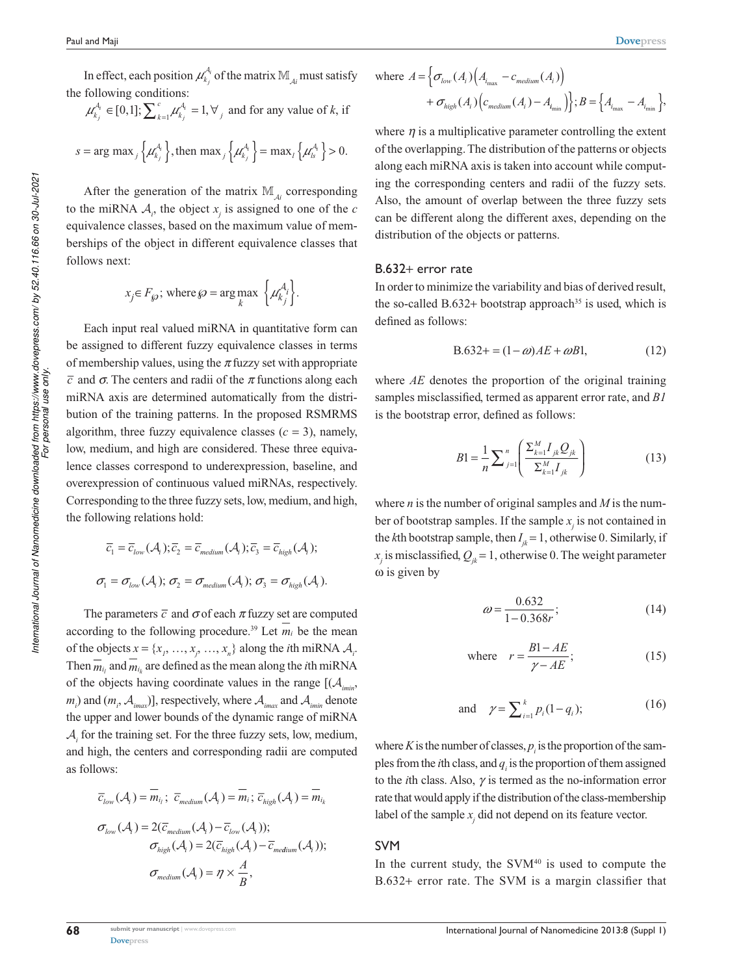In effect, each position  $\mu_{k_j}^{\mathcal{A}_i}$  of the matrix  $\mathbb{M}_{\mathcal{A}_i}$  must satisfy the following conditions:

$$
\mu_{k_j}^{A_i} \in [0,1]; \sum_{k=1}^{c} \mu_{k_j}^{A_i} = 1, \forall j
$$
 and for any value of k, if

$$
s = \arg \max_j \left\{ \mu_{k_j}^{A_i} \right\}, \text{ then } \max_j \left\{ \mu_{k_j}^{A_i} \right\} = \max_l \left\{ \mu_{k}^{A_i} \right\} > 0.
$$

After the generation of the matrix  $\mathbb{M}_{\mathcal{A}i}$  corresponding to the miRNA  $A_i$ , the object  $x_j$  is assigned to one of the *c* equivalence classes, based on the maximum value of memberships of the object in different equivalence classes that follows next:

$$
x_j \in F_{\wp}
$$
; where  $\wp = \arg \max_{k} \left\{ \mu_{k_j}^{A_i} \right\}.$ 

Each input real valued miRNA in quantitative form can be assigned to different fuzzy equivalence classes in terms of membership values, using the *π* fuzzy set with appropriate *c* and *σ*. The centers and radii of the *π* functions along each miRNA axis are determined automatically from the distribution of the training patterns. In the proposed RSMRMS algorithm, three fuzzy equivalence classes  $(c = 3)$ , namely, low, medium, and high are considered. These three equivalence classes correspond to underexpression, baseline, and overexpression of continuous valued miRNAs, respectively. Corresponding to the three fuzzy sets, low, medium, and high, the following relations hold:

$$
\overline{c}_1 = \overline{c}_{low}(\mathcal{A}_i); \overline{c}_2 = \overline{c}_{medium}(\mathcal{A}_i); \overline{c}_3 = \overline{c}_{high}(\mathcal{A}_i);
$$
  

$$
\sigma_1 = \sigma_{low}(\mathcal{A}_i); \sigma_2 = \sigma_{medium}(\mathcal{A}_i); \sigma_3 = \sigma_{high}(\mathcal{A}_i).
$$

The parameters  $\bar{c}$  and  $\sigma$  of each  $\pi$  fuzzy set are computed according to the following procedure.<sup>39</sup> Let  $m_i$  be the mean of the objects  $x = \{x_1, \ldots, x_j, \ldots, x_n\}$  along the *i*th miRNA  $A_i$ . Then  $\overline{m}_{i_l}$  and  $m_{i_k}$  are defined as the mean along the *i*th miRNA of the objects having coordinate values in the range  $[(A_{i_{min}},$  $m_i$ ) and  $(m_i, A_{imax})$ ], respectively, where  $A_{imax}$  and  $A_{imin}$  denote the upper and lower bounds of the dynamic range of miRNA  $A<sub>i</sub>$  for the training set. For the three fuzzy sets, low, medium, and high, the centers and corresponding radii are computed as follows:

$$
\overline{c}_{low}(\mathcal{A}_i) = \overline{m}_{i_l}; \ \overline{c}_{medium}(\mathcal{A}_i) = \overline{m}_i; \ \overline{c}_{high}(\mathcal{A}_i) = \overline{m}_{i_k}
$$
\n
$$
\sigma_{low}(\mathcal{A}_i) = 2(\overline{c}_{medium}(\mathcal{A}_i) - \overline{c}_{low}(\mathcal{A}_i));
$$
\n
$$
\sigma_{high}(\mathcal{A}_i) = 2(\overline{c}_{high}(\mathcal{A}_i) - \overline{c}_{medium}(\mathcal{A}_i));
$$
\n
$$
\sigma_{medium}(\mathcal{A}_i) = \eta \times \frac{A}{B},
$$

where 
$$
A = \left\{ \sigma_{low}(A_i) \Big( A_{i_{\max}} - c_{medium}(A_i) \Big) + \sigma_{high}(A_i) \Big( c_{medium}(A_i) - A_{i_{\min}} \Big) \right\}; B = \left\{ A_{i_{\max}} - A_{i_{\min}} \right\},\
$$

where  $\eta$  is a multiplicative parameter controlling the extent of the overlapping. The distribution of the patterns or objects along each miRNA axis is taken into account while computing the corresponding centers and radii of the fuzzy sets. Also, the amount of overlap between the three fuzzy sets can be different along the different axes, depending on the distribution of the objects or patterns.

#### B.632+ error rate

In order to minimize the variability and bias of derived result, the so-called B.632+ bootstrap approach<sup>35</sup> is used, which is defined as follows:

$$
B.632+ = (1 - \omega)AE + \omega BL, \tag{12}
$$

where *AE* denotes the proportion of the original training samples misclassified, termed as apparent error rate, and *B1* is the bootstrap error, defined as follows:

$$
B1 = \frac{1}{n} \sum_{j=1}^{n} \left( \frac{\sum_{k=1}^{M} I_{jk} Q_{jk}}{\sum_{k=1}^{M} I_{jk}} \right)
$$
(13)

where *n* is the number of original samples and *M* is the number of bootstrap samples. If the sample  $x_j$  is not contained in the *k*th bootstrap sample, then  $I_{jk} = 1$ , otherwise 0. Similarly, if  $x_j$  is misclassified,  $Q_{jk} = 1$ , otherwise 0. The weight parameter ω is given by

$$
\omega = \frac{0.632}{1 - 0.368r};\tag{14}
$$

where 
$$
r = \frac{B1 - AE}{\gamma - AE}
$$
; (15)

and 
$$
\gamma = \sum_{i=1}^{k} p_i (1 - q_i);
$$
 (16)

where  $K$  is the number of classes,  $p_i$  is the proportion of the samples from the *i*th class, and  $q_i$  is the proportion of them assigned to the *i*th class. Also, *γ* is termed as the no-information error rate that would apply if the distribution of the class-membership label of the sample  $x_j$  did not depend on its feature vector.

#### SVM

In the current study, the  $SVM<sup>40</sup>$  is used to compute the B.632+ error rate. The SVM is a margin classifier that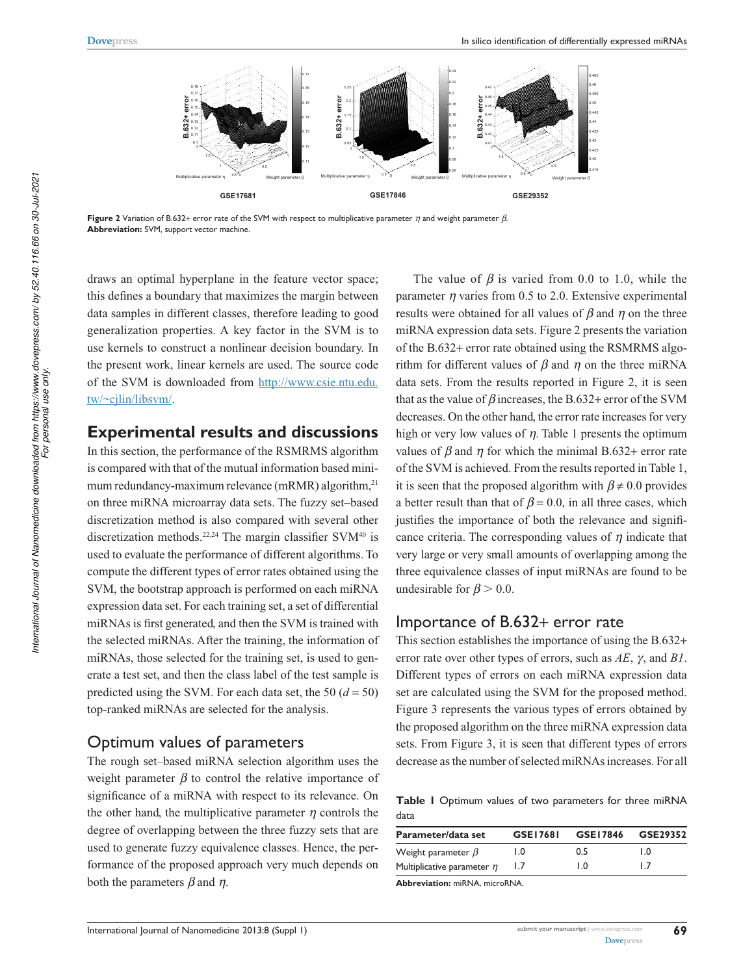

**Figure 2** Variation of B.632+ error rate of the SVM with respect to multiplicative parameter *η* and weight parameter *β*. **Abbreviation:** SVM, support vector machine.

draws an optimal hyperplane in the feature vector space; this defines a boundary that maximizes the margin between data samples in different classes, therefore leading to good generalization properties. A key factor in the SVM is to use kernels to construct a nonlinear decision boundary. In the present work, linear kernels are used. The source code of the SVM is downloaded from http://www.csie.ntu.edu. tw/~cjlin/libsvm/.

## **Experimental results and discussions**

In this section, the performance of the RSMRMS algorithm is compared with that of the mutual information based minimum redundancy-maximum relevance (mRMR) algorithm,<sup>21</sup> on three miRNA microarray data sets. The fuzzy set–based discretization method is also compared with several other discretization methods.<sup>22,24</sup> The margin classifier SVM<sup>40</sup> is used to evaluate the performance of different algorithms. To compute the different types of error rates obtained using the SVM, the bootstrap approach is performed on each miRNA expression data set. For each training set, a set of differential miRNAs is first generated, and then the SVM is trained with the selected miRNAs. After the training, the information of miRNAs, those selected for the training set, is used to generate a test set, and then the class label of the test sample is predicted using the SVM. For each data set, the 50  $(d = 50)$ top-ranked miRNAs are selected for the analysis.

## Optimum values of parameters

The rough set–based miRNA selection algorithm uses the weight parameter  $\beta$  to control the relative importance of significance of a miRNA with respect to its relevance. On the other hand, the multiplicative parameter  $\eta$  controls the degree of overlapping between the three fuzzy sets that are used to generate fuzzy equivalence classes. Hence, the performance of the proposed approach very much depends on both the parameters *β* and *η*.

The value of  $\beta$  is varied from 0.0 to 1.0, while the parameter *η* varies from 0.5 to 2.0. Extensive experimental results were obtained for all values of *β* and *η* on the three miRNA expression data sets. Figure 2 presents the variation of the B.632+ error rate obtained using the RSMRMS algorithm for different values of *β* and *η* on the three miRNA data sets. From the results reported in Figure 2, it is seen that as the value of *β* increases, the B.632+ error of the SVM decreases. On the other hand, the error rate increases for very high or very low values of *η*. Table 1 presents the optimum values of  $\beta$  and  $\eta$  for which the minimal B.632+ error rate of the SVM is achieved. From the results reported in Table 1, it is seen that the proposed algorithm with  $\beta \neq 0.0$  provides a better result than that of  $\beta$  = 0.0, in all three cases, which justifies the importance of both the relevance and significance criteria. The corresponding values of *η* indicate that very large or very small amounts of overlapping among the three equivalence classes of input miRNAs are found to be undesirable for  $\beta$  > 0.0.

## Importance of B.632+ error rate

This section establishes the importance of using the B.632+ error rate over other types of errors, such as *AE*, *γ*, and *B1*. Different types of errors on each miRNA expression data set are calculated using the SVM for the proposed method. Figure 3 represents the various types of errors obtained by the proposed algorithm on the three miRNA expression data sets. From Figure 3, it is seen that different types of errors decrease as the number of selected miRNAs increases. For all

**Table 1** Optimum values of two parameters for three miRNA data

| Parameter/data set              | GSE17681 | GSE17846 | GSE29352 |  |  |
|---------------------------------|----------|----------|----------|--|--|
| Weight parameter $\beta$        | 1.0      | 0.5      | LO.      |  |  |
| Multiplicative parameter $\eta$ | 1.7      | 1.0      | 1.7      |  |  |

**Abbreviation:** miRNA, microRNA.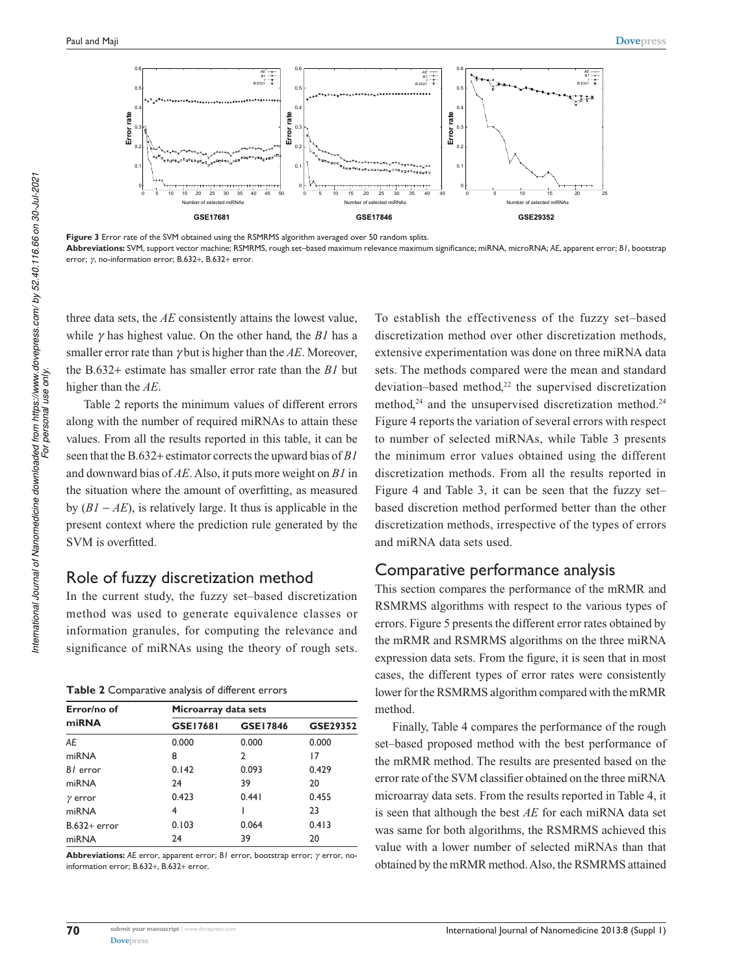

**Figure 3** Error rate of the SVM obtained using the RSMRMS algorithm averaged over 50 random splits. **Abbreviations:** SVM, support vector machine; RSMRMS, rough set–based maximum relevance maximum significance; miRNA, microRNA; *AE*, apparent error; *B1*, bootstrap error; *γ*, no-information error; B.632+, B.632+ error.

three data sets, the *AE* consistently attains the lowest value, while *γ*has highest value. On the other hand, the *B1* has a smaller error rate than *γ*but is higher than the *AE*. Moreover, the B.632+ estimate has smaller error rate than the *B1* but higher than the *AE*.

Table 2 reports the minimum values of different errors along with the number of required miRNAs to attain these values. From all the results reported in this table, it can be seen that the B.632+ estimator corrects the upward bias of *B1* and downward bias of *AE*. Also, it puts more weight on *B1* in the situation where the amount of overfitting, as measured by (*B1* − *AE*), is relatively large. It thus is applicable in the present context where the prediction rule generated by the SVM is overfitted.

## Role of fuzzy discretization method

In the current study, the fuzzy set–based discretization method was used to generate equivalence classes or information granules, for computing the relevance and significance of miRNAs using the theory of rough sets.

| Table 2 Comparative analysis of different errors |
|--------------------------------------------------|
|--------------------------------------------------|

| Error/no of    | Microarray data sets |          |          |  |  |  |  |
|----------------|----------------------|----------|----------|--|--|--|--|
| miRNA          | GSE17681             | GSE17846 | GSE29352 |  |  |  |  |
| AE             | 0.000                | 0.000    | 0.000    |  |  |  |  |
| miRNA          | 8                    | 2        | 17       |  |  |  |  |
| BI error       | 0.142                | 0.093    | 0.429    |  |  |  |  |
| miRNA          | 24                   | 39       | 20       |  |  |  |  |
| $\gamma$ error | 0.423                | 0.441    | 0.455    |  |  |  |  |
| miRNA          | 4                    |          | 23       |  |  |  |  |
| $B.632+$ error | 0.103                | 0.064    | 0.413    |  |  |  |  |
| miRNA          | 24                   | 39       | 20       |  |  |  |  |

**Abbreviations:** *AE* error, apparent error; *B1* error, bootstrap error; *γ* error, noinformation error; B.632+, B.632+ error.

To establish the effectiveness of the fuzzy set–based discretization method over other discretization methods, extensive experimentation was done on three miRNA data sets. The methods compared were the mean and standard deviation–based method,<sup>22</sup> the supervised discretization method,<sup>24</sup> and the unsupervised discretization method.<sup>24</sup> Figure 4 reports the variation of several errors with respect to number of selected miRNAs, while Table 3 presents the minimum error values obtained using the different discretization methods. From all the results reported in Figure 4 and Table 3, it can be seen that the fuzzy set– based discretion method performed better than the other discretization methods, irrespective of the types of errors and miRNA data sets used.

#### Comparative performance analysis

This section compares the performance of the mRMR and RSMRMS algorithms with respect to the various types of errors. Figure 5 presents the different error rates obtained by the mRMR and RSMRMS algorithms on the three miRNA expression data sets. From the figure, it is seen that in most cases, the different types of error rates were consistently lower for the RSMRMS algorithm compared with the mRMR method.

Finally, Table 4 compares the performance of the rough set–based proposed method with the best performance of the mRMR method. The results are presented based on the error rate of the SVM classifier obtained on the three miRNA microarray data sets. From the results reported in Table 4, it is seen that although the best *AE* for each miRNA data set was same for both algorithms, the RSMRMS achieved this value with a lower number of selected miRNAs than that obtained by the mRMR method. Also, the RSMRMS attained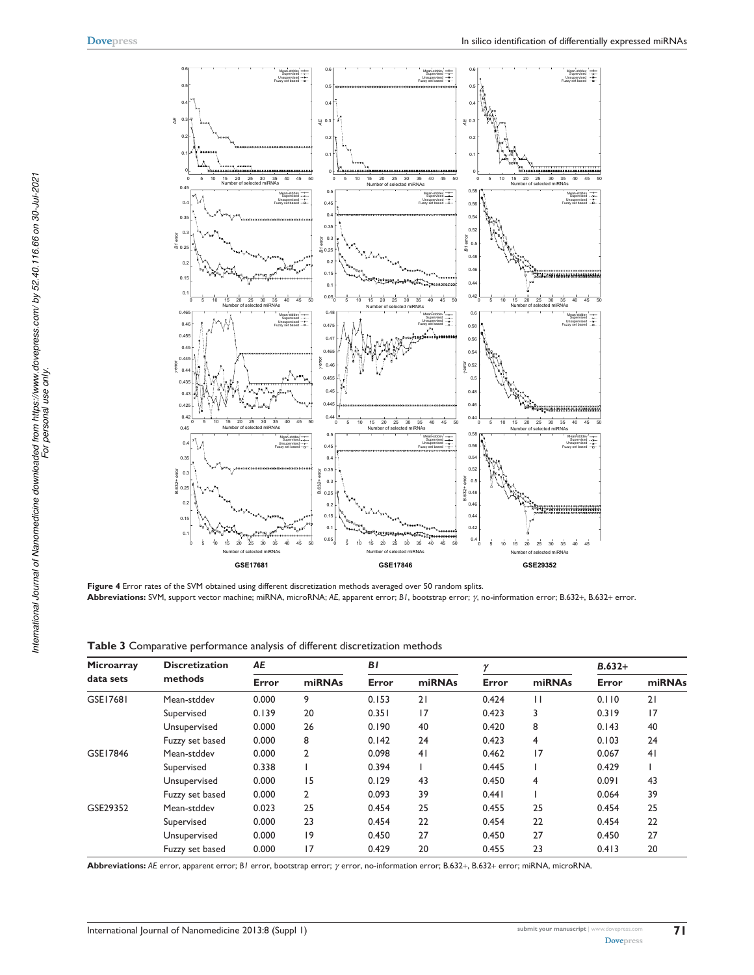

**Figure 4** Error rates of the SVM obtained using different discretization methods averaged over 50 random splits. **Abbreviations:** SVM, support vector machine; miRNA, microRNA; *AE*, apparent error; *B1*, bootstrap error; *γ*, no-information error; B.632+, B.632+ error.

| Microarray<br>data sets | <b>Discretization</b> | AE    |                | ΒI    |        | $\overline{v}$ |        | $B.632+$ |        |
|-------------------------|-----------------------|-------|----------------|-------|--------|----------------|--------|----------|--------|
|                         | methods               | Error | miRNAs         | Error | miRNAs | Error          | miRNAs | Error    | miRNAs |
| GSE17681                | Mean-stddev           | 0.000 | 9              | 0.153 | 21     | 0.424          | П      | 0.110    | 21     |
|                         | Supervised            | 0.139 | 20             | 0.351 | 17     | 0.423          | 3      | 0.319    | 17     |
|                         | Unsupervised          | 0.000 | 26             | 0.190 | 40     | 0.420          | 8      | 0.143    | 40     |
|                         | Fuzzy set based       | 0.000 | 8              | 0.142 | 24     | 0.423          | 4      | 0.103    | 24     |
| GSE17846                | Mean-stddev           | 0.000 | $\overline{2}$ | 0.098 | 41     | 0.462          | 17     | 0.067    | 41     |
|                         | Supervised            | 0.338 |                | 0.394 |        | 0.445          |        | 0.429    |        |
|                         | Unsupervised          | 0.000 | 15             | 0.129 | 43     | 0.450          | 4      | 0.091    | 43     |
|                         | Fuzzy set based       | 0.000 | 2              | 0.093 | 39     | 0.441          |        | 0.064    | 39     |
| GSE29352                | Mean-stddev           | 0.023 | 25             | 0.454 | 25     | 0.455          | 25     | 0.454    | 25     |
|                         | Supervised            | 0.000 | 23             | 0.454 | 22     | 0.454          | 22     | 0.454    | 22     |
|                         | Unsupervised          | 0.000 | 9              | 0.450 | 27     | 0.450          | 27     | 0.450    | 27     |
|                         | Fuzzy set based       | 0.000 | 17             | 0.429 | 20     | 0.455          | 23     | 0.413    | 20     |

**Abbreviations:** *AE* error, apparent error; *B1* error, bootstrap error; *γ* error, no-information error; B.632+, B.632+ error; miRNA, microRNA.

International Journal of Nanomedicine downloaded from https://www.dovepress.com/ by 52.40.116.66 on 30-Jul-2021<br>For personal use only *International Journal of Nanomedicine downloaded from https://www.dovepress.com/ by 52.40.116.66 on 30-Jul-2021 For personal use only.*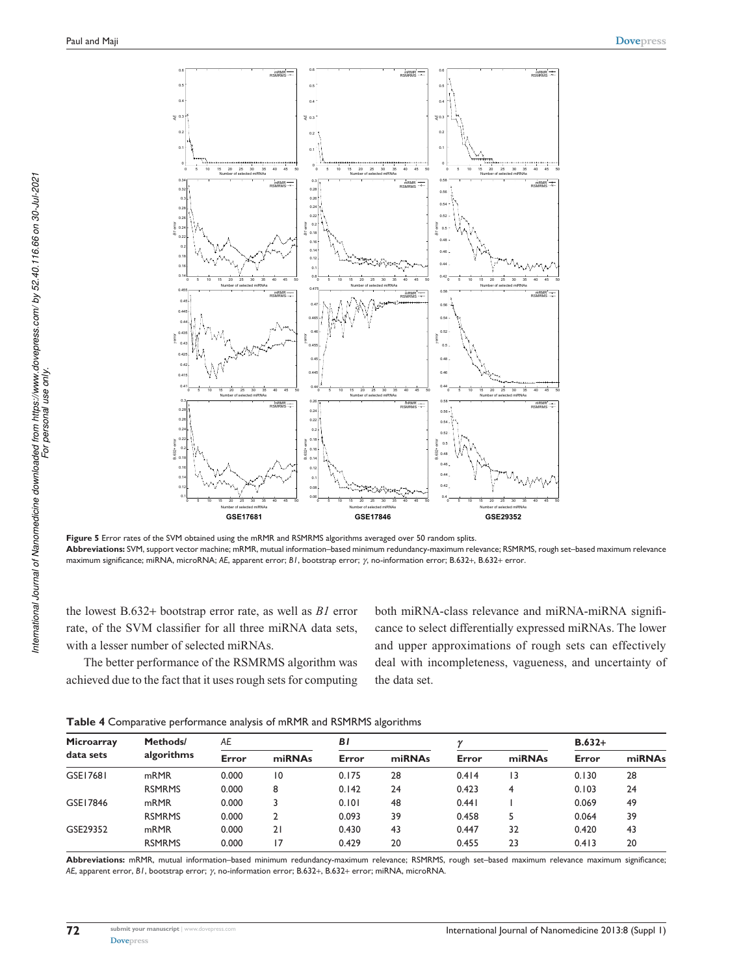

**Figure 5** Error rates of the SVM obtained using the mRMR and RSMRMS algorithms averaged over 50 random splits. **Abbreviations:** SVM, support vector machine; mRMR, mutual information–based minimum redundancy-maximum relevance; RSMRMS, rough set–based maximum relevance maximum significance; miRNA, microRNA; *AE*, apparent error; *B1*, bootstrap error; *γ*, no-information error; B.632+, B.632+ error.

the lowest B.632+ bootstrap error rate, as well as *B1* error rate, of the SVM classifier for all three miRNA data sets, with a lesser number of selected miRNAs.

The better performance of the RSMRMS algorithm was achieved due to the fact that it uses rough sets for computing both miRNA-class relevance and miRNA-miRNA significance to select differentially expressed miRNAs. The lower and upper approximations of rough sets can effectively deal with incompleteness, vagueness, and uncertainty of the data set.

|  |  |  | <b>Table 4</b> Comparative performance analysis of mRMR and RSMRMS algorithms |
|--|--|--|-------------------------------------------------------------------------------|
|--|--|--|-------------------------------------------------------------------------------|

| Microarray<br>data sets | Methods/<br>algorithms | АE    |                 | BI    |        |       |        | $B.632+$ |        |
|-------------------------|------------------------|-------|-----------------|-------|--------|-------|--------|----------|--------|
|                         |                        | Error | miRNAs          | Error | miRNAs | Error | miRNAs | Error    | miRNAs |
| GSE17681                | mRMR                   | 0.000 | $\overline{10}$ | 0.175 | 28     | 0.414 | 13     | 0.130    | 28     |
|                         | <b>RSMRMS</b>          | 0.000 | 8               | 0.142 | 24     | 0.423 | 4      | 0.103    | 24     |
| GSE17846                | m <sub>RMR</sub>       | 0.000 |                 | 0.101 | 48     | 0.441 |        | 0.069    | 49     |
|                         | <b>RSMRMS</b>          | 0.000 |                 | 0.093 | 39     | 0.458 |        | 0.064    | 39     |
| GSE29352                | m <sub>RMR</sub>       | 0.000 | 21              | 0.430 | 43     | 0.447 | 32     | 0.420    | 43     |
|                         | <b>RSMRMS</b>          | 0.000 | 17              | 0.429 | 20     | 0.455 | 23     | 0.413    | 20     |

**Abbreviations:** mRMR, mutual information–based minimum redundancy-maximum relevance; RSMRMS, rough set–based maximum relevance maximum significance; *AE*, apparent error, *B1*, bootstrap error; *γ*, no-information error; B.632+, B.632+ error; miRNA, microRNA.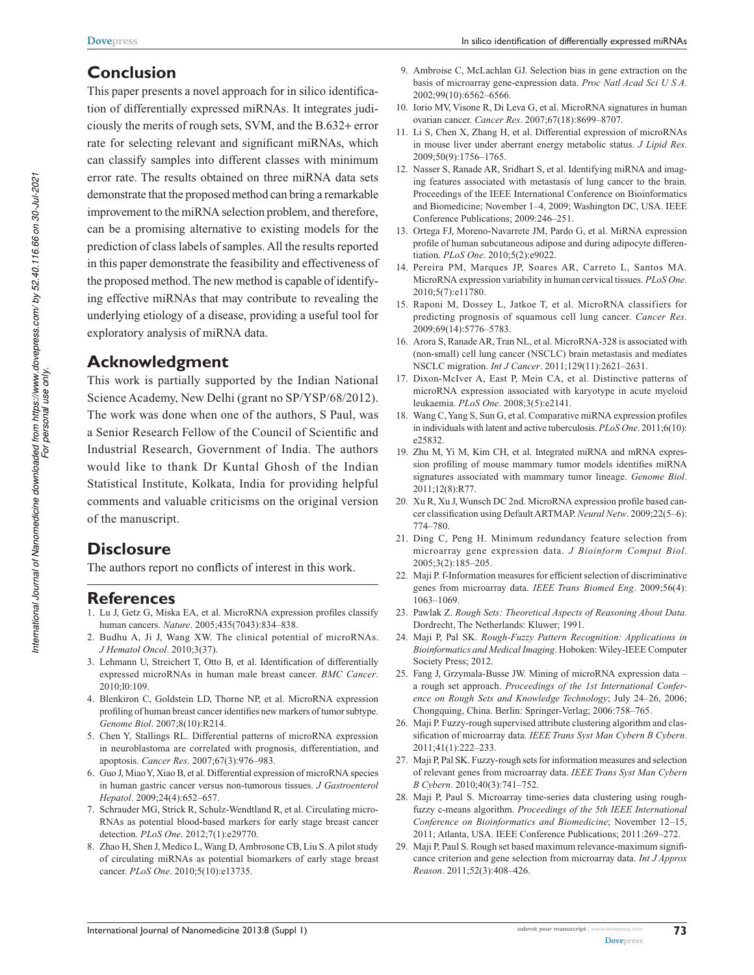# **Conclusion**

This paper presents a novel approach for in silico identification of differentially expressed miRNAs. It integrates judiciously the merits of rough sets, SVM, and the B.632+ error rate for selecting relevant and significant miRNAs, which can classify samples into different classes with minimum error rate. The results obtained on three miRNA data sets demonstrate that the proposed method can bring a remarkable improvement to the miRNA selection problem, and therefore, can be a promising alternative to existing models for the prediction of class labels of samples. All the results reported in this paper demonstrate the feasibility and effectiveness of the proposed method. The new method is capable of identifying effective miRNAs that may contribute to revealing the underlying etiology of a disease, providing a useful tool for exploratory analysis of miRNA data.

## **Acknowledgment**

This work is partially supported by the Indian National Science Academy, New Delhi (grant no SP/YSP/68/2012). The work was done when one of the authors, S Paul, was a Senior Research Fellow of the Council of Scientific and Industrial Research, Government of India. The authors would like to thank Dr Kuntal Ghosh of the Indian Statistical Institute, Kolkata, India for providing helpful comments and valuable criticisms on the original version of the manuscript.

# **Disclosure**

The authors report no conflicts of interest in this work.

## **References**

- 1. Lu J, Getz G, Miska EA, et al. MicroRNA expression profiles classify human cancers. *Nature*. 2005;435(7043):834–838.
- 2. Budhu A, Ji J, Wang XW. The clinical potential of microRNAs. *J Hematol Oncol*. 2010;3(37).
- 3. Lehmann U, Streichert T, Otto B, et al. Identification of differentially expressed microRNAs in human male breast cancer. *BMC Cancer*. 2010;l0:109.
- 4. Blenkiron C, Goldstein LD, Thorne NP, et al. MicroRNA expression profiling of human breast cancer identifies new markers of tumor subtype. *Genome Biol*. 2007;8(10):R214.
- 5. Chen Y, Stallings RL. Differential patterns of microRNA expression in neuroblastoma are correlated with prognosis, differentiation, and apoptosis. *Cancer Res*. 2007;67(3):976–983.
- 6. Guo J, Miao Y, Xiao B, et al. Differential expression of microRNA species in human gastric cancer versus non-tumorous tissues. *J Gastroenterol Hepatol*. 2009;24(4):652–657.
- 7. Schrauder MG, Strick R, Schulz-Wendtland R, et al. Circulating micro-RNAs as potential blood-based markers for early stage breast cancer detection. *PLoS One*. 2012;7(1):e29770.
- 8. Zhao H, Shen J, Medico L, Wang D, Ambrosone CB, Liu S. A pilot study of circulating miRNAs as potential biomarkers of early stage breast cancer. *PLoS One*. 2010;5(10):e13735.
- 9. Ambroise C, McLachlan GJ. Selection bias in gene extraction on the basis of microarray gene-expression data. *Proc Natl Acad Sci U S A*. 2002;99(10):6562–6566.
- 10. Iorio MV, Visone R, Di Leva G, et al. MicroRNA signatures in human ovarian cancer. *Cancer Res*. 2007;67(18):8699–8707.
- 11. Li S, Chen X, Zhang H, et al. Differential expression of microRNAs in mouse liver under aberrant energy metabolic status. *J Lipid Res*. 2009;50(9):1756–1765.
- 12. Nasser S, Ranade AR, Sridhart S, et al. Identifying miRNA and imaging features associated with metastasis of lung cancer to the brain. Proceedings of the IEEE International Conference on Bioinformatics and Biomedicine; November 1–4, 2009; Washington DC, USA. IEEE Conference Publications; 2009:246–251.
- 13. Ortega FJ, Moreno-Navarrete JM, Pardo G, et al. MiRNA expression profile of human subcutaneous adipose and during adipocyte differentiation. *PLoS One*. 2010;5(2):e9022.
- 14. Pereira PM, Marques JP, Soares AR, Carreto L, Santos MA. MicroRNA expression variability in human cervical tissues. *PLoS One*. 2010;5(7):e11780.
- 15. Raponi M, Dossey L, Jatkoe T, et al. MicroRNA classifiers for predicting prognosis of squamous cell lung cancer. *Cancer Res*. 2009;69(14):5776–5783.
- 16. Arora S, Ranade AR, Tran NL, et al. MicroRNA-328 is associated with (non-small) cell lung cancer (NSCLC) brain metastasis and mediates NSCLC migration. *Int J Cancer*. 2011;129(11):2621–2631.
- 17. Dixon-McIver A, East P, Mein CA, et al. Distinctive patterns of microRNA expression associated with karyotype in acute myeloid leukaemia. *PLoS One*. 2008;3(5):e2141.
- 18. Wang C, Yang S, Sun G, et al. Comparative miRNA expression profiles in individuals with latent and active tuberculosis. *PLoS One*. 2011;6(10): e25832.
- 19. Zhu M, Yi M, Kim CH, et al. Integrated miRNA and mRNA expression profiling of mouse mammary tumor models identifies miRNA signatures associated with mammary tumor lineage. *Genome Biol*. 2011;12(8):R77.
- 20. Xu R, Xu J, Wunsch DC 2nd. MicroRNA expression profile based cancer classification using Default ARTMAP. *Neural Netw*. 2009;22(5–6): 774–780.
- 21. Ding C, Peng H. Minimum redundancy feature selection from microarray gene expression data. *J Bioinform Comput Biol*. 2005;3(2):185–205.
- 22. Maji P. f-Information measures for efficient selection of discriminative genes from microarray data. *IEEE Trans Biomed Eng*. 2009;56(4): 1063–1069.
- 23. Pawlak Z. *Rough Sets: Theoretical Aspects of Reasoning About Data*. Dordrecht, The Netherlands: Kluwer; 1991.
- 24. Maji P, Pal SK. *Rough-Fuzzy Pattern Recognition: Applications in Bioinformatics and Medical Imaging*. Hoboken: Wiley-IEEE Computer Society Press; 2012.
- 25. Fang J, Grzymala-Busse JW. Mining of microRNA expression data a rough set approach. *Proceedings of the 1st International Conference on Rough Sets and Knowledge Technology*; July 24–26, 2006; Chongquing, China. Berlin: Springer-Verlag; 2006:758–765.
- 26. Maji P. Fuzzy-rough supervised attribute clustering algorithm and classification of microarray data. *IEEE Trans Syst Man Cybern B Cybern*. 2011;41(1):222–233.
- 27. Maji P, Pal SK. Fuzzy-rough sets for information measures and selection of relevant genes from microarray data. *IEEE Trans Syst Man Cybern B Cybern*. 2010;40(3):741–752.
- 28. Maji P, Paul S. Microarray time-series data clustering using roughfuzzy c-means algorithm. *Proceedings of the 5th IEEE International Conference on Bioinformatics and Biomedicine*; November 12–15, 2011; Atlanta, USA. IEEE Conference Publications; 2011:269–272.
- 29. Maji P, Paul S. Rough set based maximum relevance-maximum significance criterion and gene selection from microarray data. *Int J Approx Reason*. 2011;52(3):408–426.